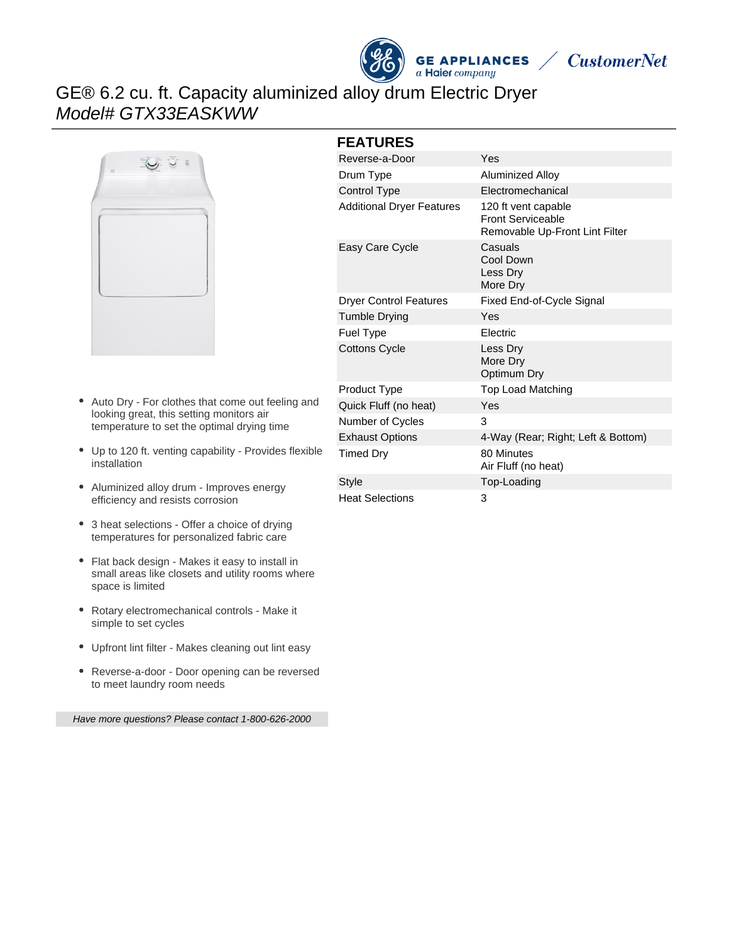



# GE® 6.2 cu. ft. Capacity aluminized alloy drum Electric Dryer Model# GTX33EASKWW



- Auto Dry For clothes that come out feeling and looking great, this setting monitors air temperature to set the optimal drying time
- Up to 120 ft. venting capability Provides flexible installation
- Aluminized alloy drum Improves energy efficiency and resists corrosion
- 3 heat selections Offer a choice of drying temperatures for personalized fabric care
- Flat back design Makes it easy to install in small areas like closets and utility rooms where space is limited
- Rotary electromechanical controls Make it simple to set cycles
- Upfront lint filter Makes cleaning out lint easy
- Reverse-a-door Door opening can be reversed to meet laundry room needs

Have more questions? Please contact 1-800-626-2000

#### **FEATURES**

| Reverse-a-Door                   | Yes                                                                               |
|----------------------------------|-----------------------------------------------------------------------------------|
| Drum Type                        | Aluminized Alloy                                                                  |
| <b>Control Type</b>              | Electromechanical                                                                 |
| <b>Additional Dryer Features</b> | 120 ft vent capable<br><b>Front Serviceable</b><br>Removable Up-Front Lint Filter |
| Easy Care Cycle                  | Casuals<br>Cool Down<br>Less Dry<br>More Dry                                      |
| <b>Dryer Control Features</b>    | Fixed End-of-Cycle Signal                                                         |
| <b>Tumble Drying</b>             | Yes                                                                               |
| Fuel Type                        | Electric                                                                          |
| <b>Cottons Cycle</b>             | Less Dry<br>More Dry<br>Optimum Dry                                               |
| Product Type                     | <b>Top Load Matching</b>                                                          |
| Quick Fluff (no heat)            | Yes                                                                               |
| Number of Cycles                 | 3                                                                                 |
| <b>Exhaust Options</b>           | 4-Way (Rear; Right; Left & Bottom)                                                |
| <b>Timed Dry</b>                 | 80 Minutes<br>Air Fluff (no heat)                                                 |
| Style                            | Top-Loading                                                                       |
| <b>Heat Selections</b>           | 3                                                                                 |